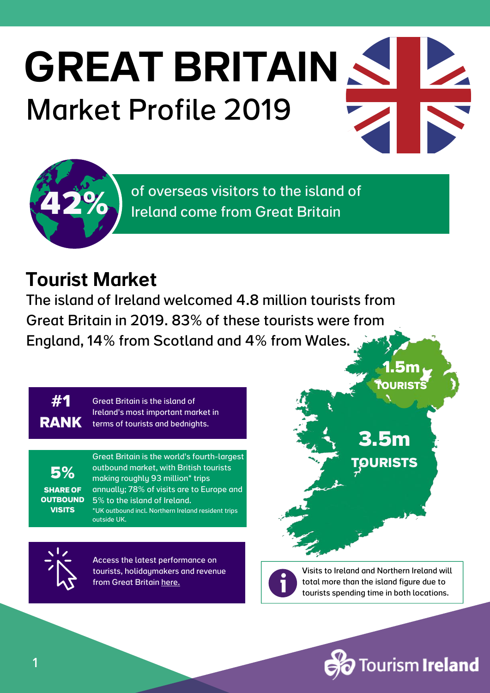# GREAT BRITAIN Market Profile 2019



of overseas visitors to the island of Ireland come from Great Britain

## Tourist Market

The island of Ireland welcomed 4.8 million tourists from Great Britain in 2019. 83% of these tourists were from England, 14% from Scotland and 4% from Wales.

**#1 RANK** Great Britain is the island of Ireland's most important market in terms of tourists and bednights.

**5% SHARE OF OUTBOUND VISITS**

Great Britain is the world's fourth-largest outbound market, with British tourists making roughly 93 million\* trips annually; 78% of visits are to Europe and 5% to the island of Ireland. \*UK outbound incl. Northern Ireland resident trips outside UK.



Access the latest performance on tourists, [holidaymakers](https://www.tourismireland.com/Research/Visitor-Facts-Figures) and revenue from Great Britain [here.](https://www.tourismireland.com/Research/Visitor-Facts-Figures)

Visits to Ireland and Northern Ireland will total more than the island figure due to tourists spending time in both locations.

**3.5m**

**1.5m TOURISTS**

**TOURISTS**

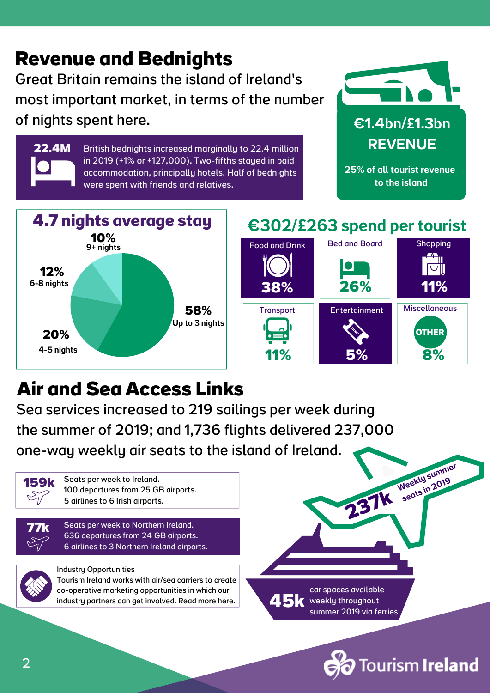### **Revenue and Bednights** Great Britain remains the island of Ireland's most important market, in terms of the number of nights spent here. €1.4bn/£1.3bn

British bednights increased marginally to 22.4 million in 2019 (+1% or +127,000). Two-fifths stayed in paid accommodation, principally hotels. Half of bednights were spent with friends and relatives.



25% of all tourist revenue to the island



## €302/£263 spend per tourist



## **Air and Sea Access Links**

Sea services increased to 219 sailings per week during the summer of 2019; and 1,736 flights delivered 237,000 one-way weekly air seats to the island of Ireland. Weekly summer



**22.4M**

**77k**

Seats per week to Ireland. 100 departures from 25 GB airports. 5 airlines to 6 Irish airports.

Seats per week to Northern Ireland. 636 departures from 24 GB airports. 6 airlines to 3 Northern Ireland airports.



#### Industry [Opportunities](https://www.tourismirelandindustryopportunities.com/overseas-markets/great-britain)

Tourism Ireland works with air/sea carriers to create co-operative marketing [opportunities](https://www.tourismirelandindustryopportunities.com/overseas-markets/great-britain) in which our industry partners can get involved. Read more here.

car spaces available 45k weekly throughout summer 2019 via ferries

**237k**



seats in  $2019$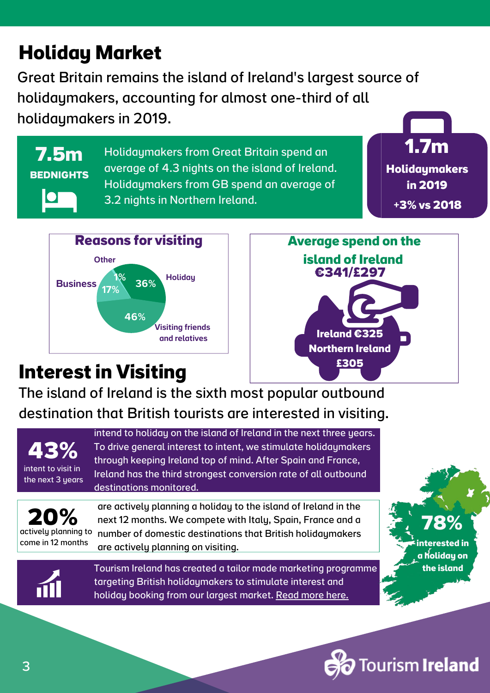## **Holiday Market**

Great Britain remains the island of Ireland's largest source of holidaymakers, accounting for almost one-third of all holidaymakers in 2019.

**7.5m BEDNIGHTS**

Holidaymakers from Great Britain spend an average of 4.3 nights on the island of Ireland. Holidaymakers from GB spend an average of 3.2 nights in Northern Ireland.





## **Interestin Visiting**

**Average spend on the island of Ireland Ireland €325 Northern Ireland £305** 1% **€341/£297**

The island of Ireland is the sixth most popular outbound destination that British tourists are interested in visiting.



intend to holiday on the island of Ireland in the next three years. To drive general interest to intent, we stimulate holidaymakers through keeping Ireland top of mind. After Spain and France, Ireland has the third strongest conversion rate of all outbound destinations monitored.

**20%** actively planning to come in 12 months

are actively planning a holiday to the island of Ireland in the next 12 months. We compete with Italy, Spain, France and a number of domestic destinations that British holidaymakers are actively planning on visiting.



Tourism Ireland has created a tailor made marketing programme targeting British [holidaymakers](https://www.tourismirelandindustryopportunities.com/overseas-markets/great-britain) to stimulate interest and holiday booking from our largest market. Read [more](https://www.tourismirelandindustryopportunities.com/overseas-markets/great-britain) here.

**Tourism Ireland** 

**78%**

**interested in a holiday on the island**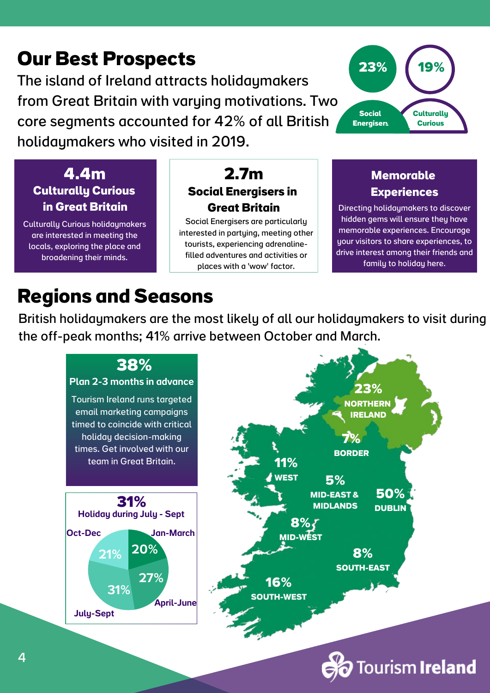## **Our Best Prospects**

The island of Ireland attracts holidaymakers from Great Britain with varying motivations. Two core segments accounted for 42% of all British holidaymakers who visited in 2019.



#### **Culturally Curious in Great Britain 4.4m**

Culturally Curious holidaymakers are interested in meeting the locals, exploring the place and broadening their minds.

#### **2.7m Social Energisers in Great Britain**

Social Energisers are particularly interested in partying, meeting other tourists, experiencing adrenalinefilled adventures and activities or places with a 'wow' factor.

#### **Memorable Experiences**

Directing holidaymakers to discover hidden gems will ensure they have memorable experiences. Encourage your visitors to share experiences, to drive interest among their friends and family to holiday here.

## **Regions and Seasons**

British holidaymakers are the most likely of all our holidaymakers to visit during the off-peak months; 41% arrive between October and March.



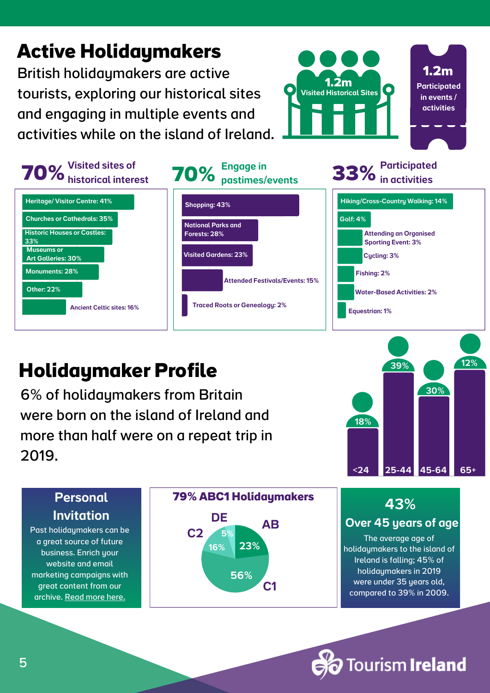

## **Holidaymaker Profile**

British holidaymakers are active

**Active Holidaymakers**

tourists, exploring our historical sites

and engaging in multiple events and

6% of holidaymakers from Britain were born on the island of Ireland and more than half were on a repeat trip in 2019.

# [Invitation](https://www.irelandscontentpool.com/)

Past [holidaymakers](https://www.irelandscontentpool.com/) can be a great source of future business. Enrich your website and email marketing [campaigns](https://www.irelandscontentpool.com/) with great content from our archive. [Read](https://www.irelandscontentpool.com/) more here.







**1.2m Participated** in events / activities

**1.2m** Visited Historical Sites

#### 43%

#### Over 45 years of age

The average age of holidaymakers to the island of Ireland is falling; 45% of holidaymakers in 2019 were under 35 years old, compared to 39% in 2009.

**Tourism Ireland**